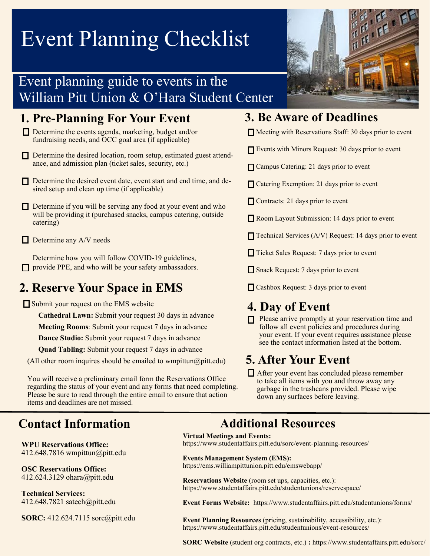## Event Planning Checklist

## Event planning guide to events in the William Pitt Union & O'Hara Student Center

### **1. Pre-Planning For Your Event**

- $\Box$  Determine the events agenda, marketing, budget and/or fundraising needs, and OCC goal area (if applicable)
- Determine the desired location, room setup, estimated guest attendance, and admission plan (ticket sales, security, etc.)
- Determine the desired event date, event start and end time, and desired setup and clean up time (if applicable)
- Determine if you will be serving any food at your event and who will be providing it (purchased snacks, campus catering, outside catering)
- $\Box$  Determine any A/V needs

Determine how you will follow COVID-19 guidelines,  $\Box$  provide PPE, and who will be your safety ambassadors.

## **2. Reserve Your Space in EMS**

Submit your request on the EMS website

**Cathedral Lawn:** Submit your request 30 days in advance

**Meeting Rooms**: Submit your request 7 days in advance

**Dance Studio:** Submit your request 7 days in advance

**Quad Tabling:** Submit your request 7 days in advance

(All other room inquires should be emailed to wmpittun@pitt.edu)

You will receive a preliminary email form the Reservations Office regarding the status of your event and any forms that need completing. Please be sure to read through the entire email to ensure that action items and deadlines are not missed.

**WPU Reservations Office:**  412.648.7816 wmpittun@pitt.edu

**OSC Reservations Office:**  412.624.3129 ohara@pitt.edu

**Technical Services:**  412.648.7821 satech@pitt.edu

**SORC:** 412.624.7115 sorc@pitt.edu



### **3. Be Aware of Deadlines**

 $\Box$  Meeting with Reservations Staff: 30 days prior to event

- Events with Minors Request: 30 days prior to event
- **Campus Catering: 21 days prior to event**
- **□ Catering Exemption: 21 days prior to event**
- Contracts: 21 days prior to event
- Room Layout Submission: 14 days prior to event
- $\Box$  Technical Services (A/V) Request: 14 days prior to event
- Ticket Sales Request: 7 days prior to event
- Snack Request: 7 days prior to event
- Cashbox Request: 3 days prior to event

### **4. Day of Event**

 $\Box$  Please arrive promptly at your reservation time and follow all event policies and procedures during your event. If your event requires assistance please see the contact information listed at the bottom.

## **5. After Your Event**

After your event has concluded please remember to take all items with you and throw away any garbage in the trashcans provided. Please wipe down any surfaces before leaving.

### **Contact Information Additional Resources**

### **Virtual Meetings and Events:**

https://www.studentaffairs.pitt.edu/sorc/event-planning-resources/

**Events Management System (EMS):**  https://ems.williampittunion.pitt.edu/emswebapp/

**Reservations Website** (room set ups, capacities, etc.): https://www.studentaffairs.pitt.edu/studentunions/reservespace/

**Event Forms Website:** https://www.studentaffairs.pitt.edu/studentunions/forms/

**Event Planning Resources** (pricing, sustainability, accessibility, etc.): https://www.studentaffairs.pitt.edu/studentunions/event-resources/

**SORC Website** (student org contracts, etc.) **:** https://www.studentaffairs.pitt.edu/sorc/